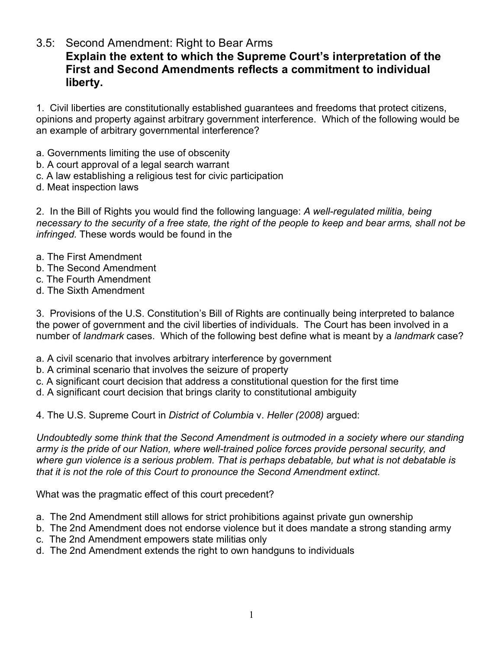3.5: Second Amendment: Right to Bear Arms **Explain the extent to which the Supreme Court's interpretation of the First and Second Amendments reflects a commitment to individual liberty.**

1. Civil liberties are constitutionally established guarantees and freedoms that protect citizens, opinions and property against arbitrary government interference. Which of the following would be an example of arbitrary governmental interference?

- a. Governments limiting the use of obscenity
- b. A court approval of a legal search warrant
- c. A law establishing a religious test for civic participation
- d. Meat inspection laws

2. In the Bill of Rights you would find the following language: *A well-regulated militia, being necessary to the security of a free state, the right of the people to keep and bear arms, shall not be infringed.* These words would be found in the

- a. The First Amendment
- b. The Second Amendment
- c. The Fourth Amendment
- d. The Sixth Amendment

3. Provisions of the U.S. Constitution's Bill of Rights are continually being interpreted to balance the power of government and the civil liberties of individuals. The Court has been involved in a number of *landmark* cases. Which of the following best define what is meant by a *landmark* case?

- a. A civil scenario that involves arbitrary interference by government
- b. A criminal scenario that involves the seizure of property
- c. A significant court decision that address a constitutional question for the first time
- d. A significant court decision that brings clarity to constitutional ambiguity
- 4. The U.S. Supreme Court in *District of Columbia* v. *Heller (2008)* argued:

*Undoubtedly some think that the Second Amendment is outmoded in a society where our standing army is the pride of our Nation, where well-trained police forces provide personal security, and where gun violence is a serious problem. That is perhaps debatable, but what is not debatable is that it is not the role of this Court to pronounce the Second Amendment extinct.*

What was the pragmatic effect of this court precedent?

- a. The 2nd Amendment still allows for strict prohibitions against private gun ownership
- b. The 2nd Amendment does not endorse violence but it does mandate a strong standing army
- c. The 2nd Amendment empowers state militias only
- d. The 2nd Amendment extends the right to own handguns to individuals